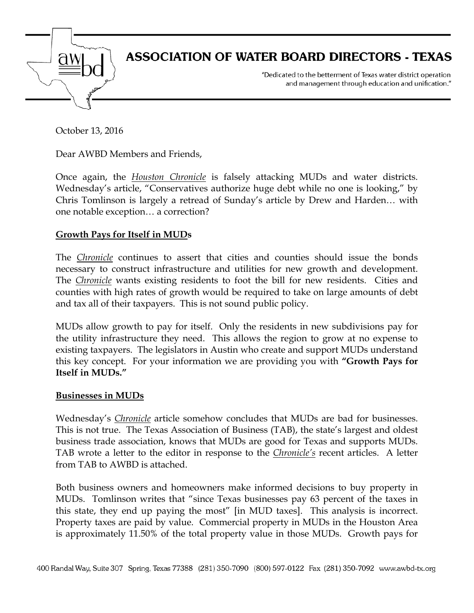

October 13, 2016

Dear AWBD Members and Friends,

Once again, the *Houston Chronicle* is falsely attacking MUDs and water districts. Wednesday's article, "Conservatives authorize huge debt while no one is looking," by Chris Tomlinson is largely a retread of Sunday's article by Drew and Harden… with one notable exception… a correction?

## **Growth Pays for Itself in MUDs**

The *Chronicle* continues to assert that cities and counties should issue the bonds necessary to construct infrastructure and utilities for new growth and development. The *Chronicle* wants existing residents to foot the bill for new residents. Cities and counties with high rates of growth would be required to take on large amounts of debt and tax all of their taxpayers. This is not sound public policy.

MUDs allow growth to pay for itself. Only the residents in new subdivisions pay for the utility infrastructure they need. This allows the region to grow at no expense to existing taxpayers. The legislators in Austin who create and support MUDs understand this key concept. For your information we are providing you with **"Growth Pays for Itself in MUDs."**

## **Businesses in MUDs**

Wednesday's *Chronicle* article somehow concludes that MUDs are bad for businesses. This is not true. The Texas Association of Business (TAB), the state's largest and oldest business trade association, knows that MUDs are good for Texas and supports MUDs. TAB wrote a letter to the editor in response to the *Chronicle's* recent articles. A letter from TAB to AWBD is attached.

Both business owners and homeowners make informed decisions to buy property in MUDs. Tomlinson writes that "since Texas businesses pay 63 percent of the taxes in this state, they end up paying the most" [in MUD taxes]. This analysis is incorrect. Property taxes are paid by value. Commercial property in MUDs in the Houston Area is approximately 11.50% of the total property value in those MUDs. Growth pays for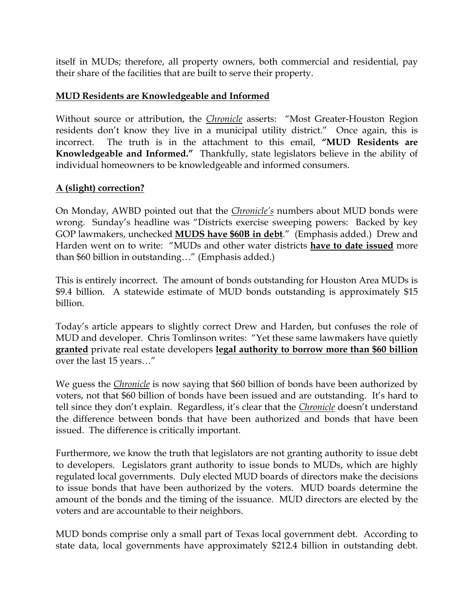itself in MUDs; therefore, all property owners, both commercial and residential, pay their share of the facilities that are built to serve their property.

## **MUD Residents are Knowledgeable and Informed**

Without source or attribution, the *Chronicle* asserts: "Most Greater-Houston Region residents don't know they live in a municipal utility district." Once again, this is incorrect. The truth is in the attachment to this email, **"MUD Residents are Knowledgeable and Informed."** Thankfully, state legislators believe in the ability of individual homeowners to be knowledgeable and informed consumers.

## **A (slight) correction?**

On Monday, AWBD pointed out that the *Chronicle's* numbers about MUD bonds were wrong. Sunday's headline was "Districts exercise sweeping powers: Backed by key GOP lawmakers, unchecked **MUDS have \$60B in debt**." (Emphasis added.) Drew and Harden went on to write: "MUDs and other water districts **have to date issued** more than \$60 billion in outstanding…" (Emphasis added.)

This is entirely incorrect. The amount of bonds outstanding for Houston Area MUDs is \$9.4 billion. A statewide estimate of MUD bonds outstanding is approximately \$15 billion.

Today's article appears to slightly correct Drew and Harden, but confuses the role of MUD and developer. Chris Tomlinson writes: "Yet these same lawmakers have quietly **granted** private real estate developers **legal authority to borrow more than \$60 billion** over the last 15 years…"

We guess the *Chronicle* is now saying that \$60 billion of bonds have been authorized by voters, not that \$60 billion of bonds have been issued and are outstanding. It's hard to tell since they don't explain. Regardless, it's clear that the *Chronicle* doesn't understand the difference between bonds that have been authorized and bonds that have been issued. The difference is critically important.

Furthermore, we know the truth that legislators are not granting authority to issue debt to developers. Legislators grant authority to issue bonds to MUDs, which are highly regulated local governments. Duly elected MUD boards of directors make the decisions to issue bonds that have been authorized by the voters. MUD boards determine the amount of the bonds and the timing of the issuance. MUD directors are elected by the voters and are accountable to their neighbors.

MUD bonds comprise only a small part of Texas local government debt. According to state data, local governments have approximately \$212.4 billion in outstanding debt.